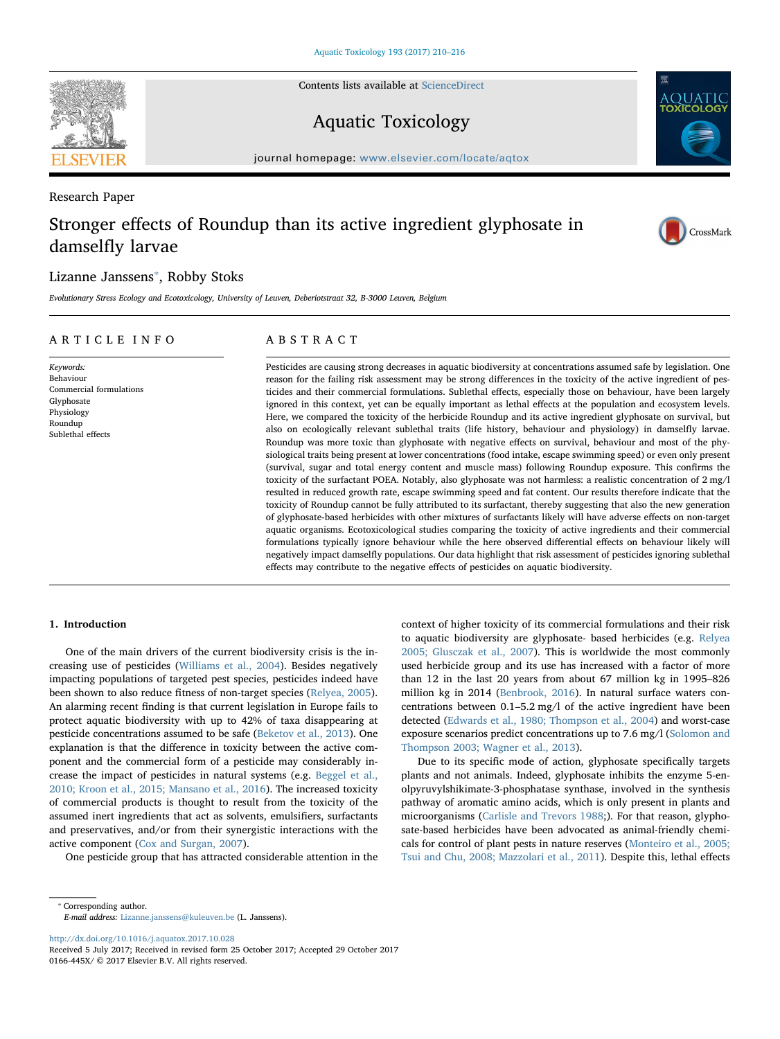Contents lists available at [ScienceDirect](http://www.sciencedirect.com/science/journal/0166445X)

# Aquatic Toxicology

journal homepage: [www.elsevier.com/locate/aqtox](https://www.elsevier.com/locate/aqtox)

# Research Paper Stronger effects of Roundup than its active ingredient glyphosate in damselfly larvae

# Lizanne Janssens<sup>\*</sup>, Robby Stoks

Evolutionary Stress Ecology and Ecotoxicology, University of Leuven, Deberiotstraat 32, B-3000 Leuven, Belgium

# ARTICLE INFO

Commercial formulations

Keywords: Behaviour

Glyphosate Physiology Roundup Sublethal effects

ABSTRACT

Pesticides are causing strong decreases in aquatic biodiversity at concentrations assumed safe by legislation. One reason for the failing risk assessment may be strong differences in the toxicity of the active ingredient of pesticides and their commercial formulations. Sublethal effects, especially those on behaviour, have been largely ignored in this context, yet can be equally important as lethal effects at the population and ecosystem levels. Here, we compared the toxicity of the herbicide Roundup and its active ingredient glyphosate on survival, but also on ecologically relevant sublethal traits (life history, behaviour and physiology) in damselfly larvae. Roundup was more toxic than glyphosate with negative effects on survival, behaviour and most of the physiological traits being present at lower concentrations (food intake, escape swimming speed) or even only present (survival, sugar and total energy content and muscle mass) following Roundup exposure. This confirms the toxicity of the surfactant POEA. Notably, also glyphosate was not harmless: a realistic concentration of 2 mg/l resulted in reduced growth rate, escape swimming speed and fat content. Our results therefore indicate that the toxicity of Roundup cannot be fully attributed to its surfactant, thereby suggesting that also the new generation of glyphosate-based herbicides with other mixtures of surfactants likely will have adverse effects on non-target aquatic organisms. Ecotoxicological studies comparing the toxicity of active ingredients and their commercial formulations typically ignore behaviour while the here observed differential effects on behaviour likely will negatively impact damselfly populations. Our data highlight that risk assessment of pesticides ignoring sublethal effects may contribute to the negative effects of pesticides on aquatic biodiversity.

## 1. Introduction

One of the main drivers of the current biodiversity crisis is the increasing use of pesticides ([Williams et al., 2004\)](#page-6-0). Besides negatively impacting populations of targeted pest species, pesticides indeed have been shown to also reduce fitness of non-target species [\(Relyea, 2005](#page-6-1)). An alarming recent finding is that current legislation in Europe fails to protect aquatic biodiversity with up to 42% of taxa disappearing at pesticide concentrations assumed to be safe [\(Beketov et al., 2013\)](#page-5-0). One explanation is that the difference in toxicity between the active component and the commercial form of a pesticide may considerably increase the impact of pesticides in natural systems (e.g. [Beggel et al.,](#page-5-1) [2010; Kroon et al., 2015; Mansano et al., 2016](#page-5-1)). The increased toxicity of commercial products is thought to result from the toxicity of the assumed inert ingredients that act as solvents, emulsifiers, surfactants and preservatives, and/or from their synergistic interactions with the active component [\(Cox and Surgan, 2007](#page-6-2)).

One pesticide group that has attracted considerable attention in the

context of higher toxicity of its commercial formulations and their risk to aquatic biodiversity are glyphosate- based herbicides (e.g. [Relyea](#page-6-1) [2005; Glusczak et al., 2007\)](#page-6-1). This is worldwide the most commonly used herbicide group and its use has increased with a factor of more than 12 in the last 20 years from about 67 million kg in 1995–826 million kg in 2014 ([Benbrook, 2016](#page-5-2)). In natural surface waters concentrations between 0.1–5.2 mg/l of the active ingredient have been detected ([Edwards et al., 1980; Thompson et al., 2004\)](#page-6-3) and worst-case exposure scenarios predict concentrations up to 7.6 mg/l ([Solomon and](#page-6-4) [Thompson 2003; Wagner et al., 2013\)](#page-6-4).

Due to its specific mode of action, glyphosate specifically targets plants and not animals. Indeed, glyphosate inhibits the enzyme 5-enolpyruvylshikimate-3-phosphatase synthase, involved in the synthesis pathway of aromatic amino acids, which is only present in plants and microorganisms ([Carlisle and Trevors 1988](#page-6-5);). For that reason, glyphosate-based herbicides have been advocated as animal-friendly chemicals for control of plant pests in nature reserves [\(Monteiro et al., 2005;](#page-6-6) [Tsui and Chu, 2008; Mazzolari et al., 2011\)](#page-6-6). Despite this, lethal effects

<http://dx.doi.org/10.1016/j.aquatox.2017.10.028>







<span id="page-0-0"></span><sup>⁎</sup> Corresponding author. E-mail address: [Lizanne.janssens@kuleuven.be](mailto:Lizanne.janssens@kuleuven.be) (L. Janssens).

Received 5 July 2017; Received in revised form 25 October 2017; Accepted 29 October 2017 0166-445X/ © 2017 Elsevier B.V. All rights reserved.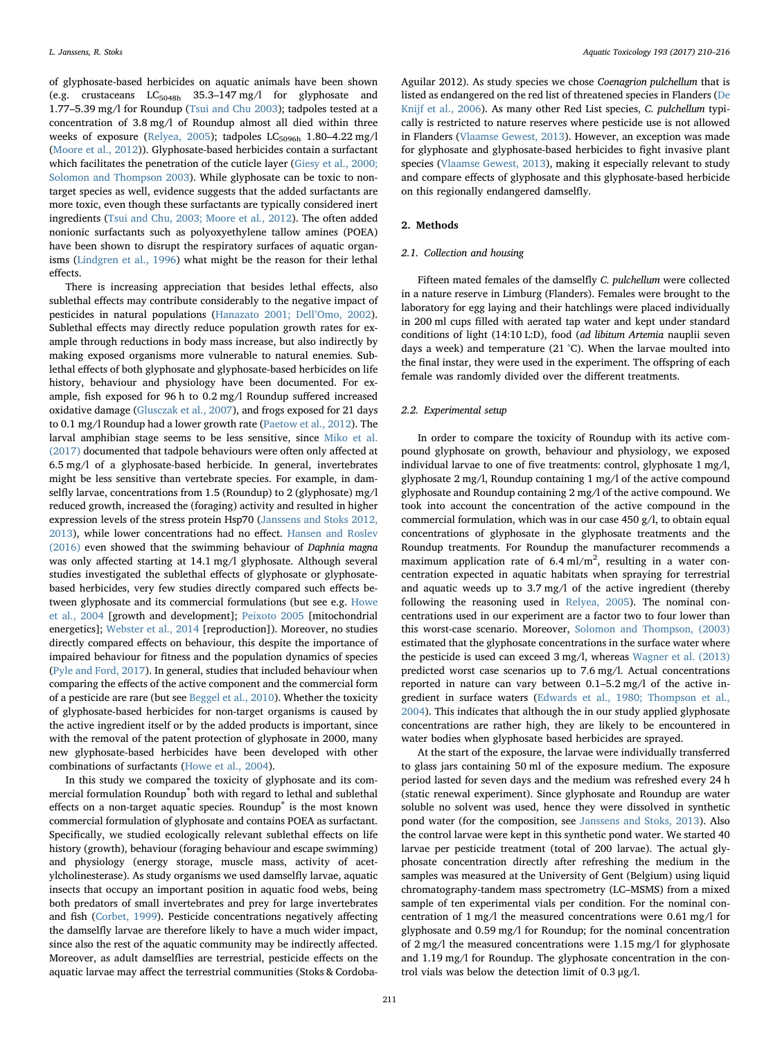of glyphosate-based herbicides on aquatic animals have been shown (e.g. crustaceans  $LC_{5048h}$  35.3-147 mg/l for glyphosate and 1.77–5.39 mg/l for Roundup ([Tsui and Chu 2003](#page-6-7)); tadpoles tested at a concentration of 3.8 mg/l of Roundup almost all died within three weeks of exposure ([Relyea, 2005\)](#page-6-1); tadpoles  $LC_{5096h}$  1.80–4.22 mg/l ([Moore et al., 2012\)](#page-6-8)). Glyphosate-based herbicides contain a surfactant which facilitates the penetration of the cuticle layer [\(Giesy et al., 2000;](#page-6-9) [Solomon and Thompson 2003\)](#page-6-9). While glyphosate can be toxic to nontarget species as well, evidence suggests that the added surfactants are more toxic, even though these surfactants are typically considered inert ingredients ([Tsui and Chu, 2003; Moore et al., 2012](#page-6-7)). The often added nonionic surfactants such as polyoxyethylene tallow amines (POEA) have been shown to disrupt the respiratory surfaces of aquatic organisms [\(Lindgren et al., 1996\)](#page-6-10) what might be the reason for their lethal effects.

There is increasing appreciation that besides lethal effects, also sublethal effects may contribute considerably to the negative impact of pesticides in natural populations ([Hanazato 2001; Dell](#page-6-11)'Omo, 2002). Sublethal effects may directly reduce population growth rates for example through reductions in body mass increase, but also indirectly by making exposed organisms more vulnerable to natural enemies. Sublethal effects of both glyphosate and glyphosate-based herbicides on life history, behaviour and physiology have been documented. For example, fish exposed for 96 h to 0.2 mg/l Roundup suffered increased oxidative damage ([Glusczak et al., 2007\)](#page-6-12), and frogs exposed for 21 days to 0.1 mg/l Roundup had a lower growth rate [\(Paetow et al., 2012](#page-6-13)). The larval amphibian stage seems to be less sensitive, since [Miko et al.](#page-6-14) [\(2017\)](#page-6-14) documented that tadpole behaviours were often only affected at 6.5 mg/l of a glyphosate-based herbicide. In general, invertebrates might be less sensitive than vertebrate species. For example, in damselfly larvae, concentrations from 1.5 (Roundup) to 2 (glyphosate) mg/l reduced growth, increased the (foraging) activity and resulted in higher expression levels of the stress protein Hsp70 [\(Janssens and Stoks 2012,](#page-6-15) [2013\)](#page-6-15), while lower concentrations had no effect. [Hansen and Roslev](#page-6-16) [\(2016\)](#page-6-16) even showed that the swimming behaviour of Daphnia magna was only affected starting at 14.1 mg/l glyphosate. Although several studies investigated the sublethal effects of glyphosate or glyphosatebased herbicides, very few studies directly compared such effects between glyphosate and its commercial formulations (but see e.g. [Howe](#page-6-17) [et al., 2004](#page-6-17) [growth and development]; [Peixoto 2005](#page-6-18) [mitochondrial energetics]; [Webster et al., 2014](#page-6-19) [reproduction]). Moreover, no studies directly compared effects on behaviour, this despite the importance of impaired behaviour for fitness and the population dynamics of species ([Pyle and Ford, 2017\)](#page-6-20). In general, studies that included behaviour when comparing the effects of the active component and the commercial form of a pesticide are rare (but see [Beggel et al., 2010](#page-5-1)). Whether the toxicity of glyphosate-based herbicides for non-target organisms is caused by the active ingredient itself or by the added products is important, since with the removal of the patent protection of glyphosate in 2000, many new glyphosate-based herbicides have been developed with other combinations of surfactants [\(Howe et al., 2004](#page-6-17)).

In this study we compared the toxicity of glyphosate and its commercial formulation Roundup® both with regard to lethal and sublethal effects on a non-target aquatic species. Roundup® is the most known commercial formulation of glyphosate and contains POEA as surfactant. Specifically, we studied ecologically relevant sublethal effects on life history (growth), behaviour (foraging behaviour and escape swimming) and physiology (energy storage, muscle mass, activity of acetylcholinesterase). As study organisms we used damselfly larvae, aquatic insects that occupy an important position in aquatic food webs, being both predators of small invertebrates and prey for large invertebrates and fish [\(Corbet, 1999\)](#page-6-21). Pesticide concentrations negatively affecting the damselfly larvae are therefore likely to have a much wider impact, since also the rest of the aquatic community may be indirectly affected. Moreover, as adult damselflies are terrestrial, pesticide effects on the aquatic larvae may affect the terrestrial communities (Stoks & Cordoba-

Aguilar 2012). As study species we chose Coenagrion pulchellum that is listed as endangered on the red list of threatened species in Flanders [\(De](#page-6-22) [Knijf et al., 2006](#page-6-22)). As many other Red List species, C. pulchellum typically is restricted to nature reserves where pesticide use is not allowed in Flanders [\(Vlaamse Gewest, 2013](#page-6-23)). However, an exception was made for glyphosate and glyphosate-based herbicides to fight invasive plant species ([Vlaamse Gewest, 2013\)](#page-6-23), making it especially relevant to study and compare effects of glyphosate and this glyphosate-based herbicide on this regionally endangered damselfly.

#### 2. Methods

#### 2.1. Collection and housing

Fifteen mated females of the damselfly C. pulchellum were collected in a nature reserve in Limburg (Flanders). Females were brought to the laboratory for egg laying and their hatchlings were placed individually in 200 ml cups filled with aerated tap water and kept under standard conditions of light (14:10 L:D), food (ad libitum Artemia nauplii seven days a week) and temperature (21 °C). When the larvae moulted into the final instar, they were used in the experiment. The offspring of each female was randomly divided over the different treatments.

### 2.2. Experimental setup

In order to compare the toxicity of Roundup with its active compound glyphosate on growth, behaviour and physiology, we exposed individual larvae to one of five treatments: control, glyphosate 1 mg/l, glyphosate 2 mg/l, Roundup containing 1 mg/l of the active compound glyphosate and Roundup containing 2 mg/l of the active compound. We took into account the concentration of the active compound in the commercial formulation, which was in our case  $450$  g/l, to obtain equal concentrations of glyphosate in the glyphosate treatments and the Roundup treatments. For Roundup the manufacturer recommends a maximum application rate of  $6.4$  ml/m<sup>2</sup>, resulting in a water concentration expected in aquatic habitats when spraying for terrestrial and aquatic weeds up to 3.7 mg/l of the active ingredient (thereby following the reasoning used in [Relyea, 2005\)](#page-6-1). The nominal concentrations used in our experiment are a factor two to four lower than this worst-case scenario. Moreover, [Solomon and Thompson, \(2003\)](#page-6-4) estimated that the glyphosate concentrations in the surface water where the pesticide is used can exceed 3 mg/l, whereas [Wagner et al. \(2013\)](#page-6-24) predicted worst case scenarios up to 7.6 mg/l. Actual concentrations reported in nature can vary between 0.1–5.2 mg/l of the active ingredient in surface waters ([Edwards et al., 1980; Thompson et al.,](#page-6-3) [2004\)](#page-6-3). This indicates that although the in our study applied glyphosate concentrations are rather high, they are likely to be encountered in water bodies when glyphosate based herbicides are sprayed.

At the start of the exposure, the larvae were individually transferred to glass jars containing 50 ml of the exposure medium. The exposure period lasted for seven days and the medium was refreshed every 24 h (static renewal experiment). Since glyphosate and Roundup are water soluble no solvent was used, hence they were dissolved in synthetic pond water (for the composition, see [Janssens and Stoks, 2013](#page-6-25)). Also the control larvae were kept in this synthetic pond water. We started 40 larvae per pesticide treatment (total of 200 larvae). The actual glyphosate concentration directly after refreshing the medium in the samples was measured at the University of Gent (Belgium) using liquid chromatography-tandem mass spectrometry (LC–MSMS) from a mixed sample of ten experimental vials per condition. For the nominal concentration of 1 mg/l the measured concentrations were 0.61 mg/l for glyphosate and 0.59 mg/l for Roundup; for the nominal concentration of 2 mg/l the measured concentrations were 1.15 mg/l for glyphosate and 1.19 mg/l for Roundup. The glyphosate concentration in the control vials was below the detection limit of 0.3 μg/l.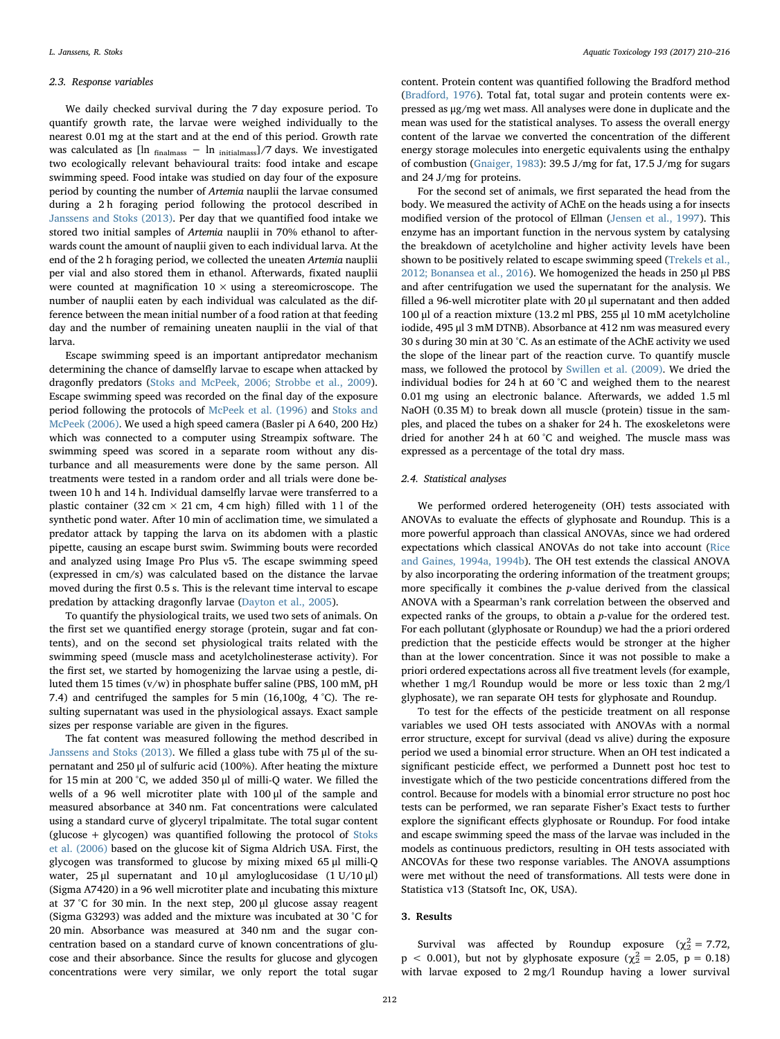#### 2.3. Response variables

We daily checked survival during the 7 day exposure period. To quantify growth rate, the larvae were weighed individually to the nearest 0.01 mg at the start and at the end of this period. Growth rate was calculated as  $[\ln \frac{1}{\text{final} \text{mass}} - \ln \frac{1}{\text{initial} \text{mass}}]/7$  days. We investigated two ecologically relevant behavioural traits: food intake and escape swimming speed. Food intake was studied on day four of the exposure period by counting the number of Artemia nauplii the larvae consumed during a 2 h foraging period following the protocol described in [Janssens and Stoks \(2013\).](#page-6-25) Per day that we quantified food intake we stored two initial samples of Artemia nauplii in 70% ethanol to afterwards count the amount of nauplii given to each individual larva. At the end of the 2 h foraging period, we collected the uneaten Artemia nauplii per vial and also stored them in ethanol. Afterwards, fixated nauplii were counted at magnification  $10 \times$  using a stereomicroscope. The number of nauplii eaten by each individual was calculated as the difference between the mean initial number of a food ration at that feeding day and the number of remaining uneaten nauplii in the vial of that larva.

Escape swimming speed is an important antipredator mechanism determining the chance of damselfly larvae to escape when attacked by dragonfly predators ([Stoks and McPeek, 2006; Strobbe et al., 2009](#page-6-26)). Escape swimming speed was recorded on the final day of the exposure period following the protocols of [McPeek et al. \(1996\)](#page-6-27) and [Stoks and](#page-6-26) [McPeek \(2006\).](#page-6-26) We used a high speed camera (Basler pi A 640, 200 Hz) which was connected to a computer using Streampix software. The swimming speed was scored in a separate room without any disturbance and all measurements were done by the same person. All treatments were tested in a random order and all trials were done between 10 h and 14 h. Individual damselfly larvae were transferred to a plastic container (32 cm  $\times$  21 cm, 4 cm high) filled with 11 of the synthetic pond water. After 10 min of acclimation time, we simulated a predator attack by tapping the larva on its abdomen with a plastic pipette, causing an escape burst swim. Swimming bouts were recorded and analyzed using Image Pro Plus v5. The escape swimming speed (expressed in cm/s) was calculated based on the distance the larvae moved during the first 0.5 s. This is the relevant time interval to escape predation by attacking dragonfly larvae ([Dayton et al., 2005\)](#page-6-28).

To quantify the physiological traits, we used two sets of animals. On the first set we quantified energy storage (protein, sugar and fat contents), and on the second set physiological traits related with the swimming speed (muscle mass and acetylcholinesterase activity). For the first set, we started by homogenizing the larvae using a pestle, diluted them 15 times (v/w) in phosphate buffer saline (PBS, 100 mM, pH 7.4) and centrifuged the samples for 5 min (16,100g, 4 °C). The resulting supernatant was used in the physiological assays. Exact sample sizes per response variable are given in the figures.

The fat content was measured following the method described in [Janssens and Stoks \(2013\).](#page-6-25) We filled a glass tube with 75 μl of the supernatant and 250 μl of sulfuric acid (100%). After heating the mixture for 15 min at 200 °C, we added 350 μl of milli-Q water. We filled the wells of a 96 well microtiter plate with 100 μl of the sample and measured absorbance at 340 nm. Fat concentrations were calculated using a standard curve of glyceryl tripalmitate. The total sugar content (glucose + glycogen) was quantified following the protocol of [Stoks](#page-6-29) [et al. \(2006\)](#page-6-29) based on the glucose kit of Sigma Aldrich USA. First, the glycogen was transformed to glucose by mixing mixed 65 μl milli-Q water, 25 μl supernatant and 10 μl amyloglucosidase (1 U/10 μl) (Sigma A7420) in a 96 well microtiter plate and incubating this mixture at 37 °C for 30 min. In the next step, 200 μl glucose assay reagent (Sigma G3293) was added and the mixture was incubated at 30 °C for 20 min. Absorbance was measured at 340 nm and the sugar concentration based on a standard curve of known concentrations of glucose and their absorbance. Since the results for glucose and glycogen concentrations were very similar, we only report the total sugar

content. Protein content was quantified following the Bradford method ([Bradford, 1976\)](#page-6-30). Total fat, total sugar and protein contents were expressed as μg/mg wet mass. All analyses were done in duplicate and the mean was used for the statistical analyses. To assess the overall energy content of the larvae we converted the concentration of the different energy storage molecules into energetic equivalents using the enthalpy of combustion ([Gnaiger, 1983](#page-6-31)): 39.5 J/mg for fat, 17.5 J/mg for sugars and 24 J/mg for proteins.

For the second set of animals, we first separated the head from the body. We measured the activity of AChE on the heads using a for insects modified version of the protocol of Ellman [\(Jensen et al., 1997\)](#page-6-32). This enzyme has an important function in the nervous system by catalysing the breakdown of acetylcholine and higher activity levels have been shown to be positively related to escape swimming speed ([Trekels et al.,](#page-6-33) [2012; Bonansea et al., 2016](#page-6-33)). We homogenized the heads in 250 μl PBS and after centrifugation we used the supernatant for the analysis. We filled a 96-well microtiter plate with 20 μl supernatant and then added 100 μl of a reaction mixture (13.2 ml PBS, 255 μl 10 mM acetylcholine iodide, 495 μl 3 mM DTNB). Absorbance at 412 nm was measured every 30 s during 30 min at 30 °C. As an estimate of the AChE activity we used the slope of the linear part of the reaction curve. To quantify muscle mass, we followed the protocol by [Swillen et al. \(2009\)](#page-6-34). We dried the individual bodies for 24 h at 60 °C and weighed them to the nearest 0.01 mg using an electronic balance. Afterwards, we added 1.5 ml NaOH (0.35 M) to break down all muscle (protein) tissue in the samples, and placed the tubes on a shaker for 24 h. The exoskeletons were dried for another 24 h at 60 °C and weighed. The muscle mass was expressed as a percentage of the total dry mass.

#### 2.4. Statistical analyses

We performed ordered heterogeneity (OH) tests associated with ANOVAs to evaluate the effects of glyphosate and Roundup. This is a more powerful approach than classical ANOVAs, since we had ordered expectations which classical ANOVAs do not take into account [\(Rice](#page-6-35) [and Gaines, 1994a, 1994b\)](#page-6-35). The OH test extends the classical ANOVA by also incorporating the ordering information of the treatment groups; more specifically it combines the p-value derived from the classical ANOVA with a Spearman's rank correlation between the observed and expected ranks of the groups, to obtain a p-value for the ordered test. For each pollutant (glyphosate or Roundup) we had the a priori ordered prediction that the pesticide effects would be stronger at the higher than at the lower concentration. Since it was not possible to make a priori ordered expectations across all five treatment levels (for example, whether 1 mg/l Roundup would be more or less toxic than 2 mg/l glyphosate), we ran separate OH tests for glyphosate and Roundup.

To test for the effects of the pesticide treatment on all response variables we used OH tests associated with ANOVAs with a normal error structure, except for survival (dead vs alive) during the exposure period we used a binomial error structure. When an OH test indicated a significant pesticide effect, we performed a Dunnett post hoc test to investigate which of the two pesticide concentrations differed from the control. Because for models with a binomial error structure no post hoc tests can be performed, we ran separate Fisher's Exact tests to further explore the significant effects glyphosate or Roundup. For food intake and escape swimming speed the mass of the larvae was included in the models as continuous predictors, resulting in OH tests associated with ANCOVAs for these two response variables. The ANOVA assumptions were met without the need of transformations. All tests were done in Statistica v13 (Statsoft Inc, OK, USA).

#### 3. Results

Survival was affected by Roundup exposure ( $\chi^2 = 7.72$ ,  $p < 0.001$ ), but not by glyphosate exposure ( $\chi^2$  = 2.05, p = 0.18) with larvae exposed to 2 mg/l Roundup having a lower survival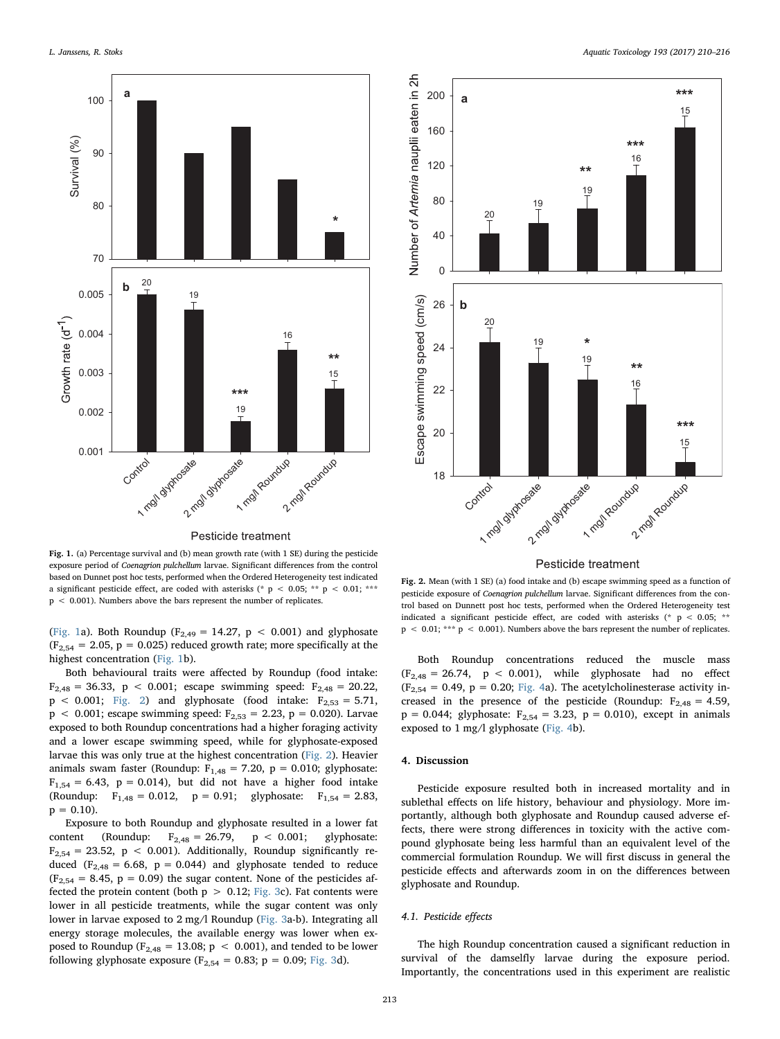<span id="page-3-0"></span>

Pesticide treatment

Fig. 1. (a) Percentage survival and (b) mean growth rate (with 1 SE) during the pesticide exposure period of Coenagrion pulchellum larvae. Significant differences from the control based on Dunnet post hoc tests, performed when the Ordered Heterogeneity test indicated a significant pesticide effect, are coded with asterisks (\* p < 0.05; \*\* p < 0.01; \*\*\*  $p < 0.001$ . Numbers above the bars represent the number of replicates.

([Fig. 1a](#page-3-0)). Both Roundup (F<sub>2,49</sub> = 14.27, p < 0.001) and glyphosate  $(F_{2,54} = 2.05, p = 0.025)$  reduced growth rate; more specifically at the highest concentration [\(Fig. 1](#page-3-0)b).

Both behavioural traits were affected by Roundup (food intake:  $F_{2,48} = 36.33$ , p < 0.001; escape swimming speed:  $F_{2,48} = 20.22$ ,  $p < 0.001$ ; [Fig. 2](#page-3-1)) and glyphosate (food intake:  $F_{2,53} = 5.71$ ,  $p$  < 0.001; escape swimming speed:  $F_{2,53} = 2.23$ ,  $p = 0.020$ ). Larvae exposed to both Roundup concentrations had a higher foraging activity and a lower escape swimming speed, while for glyphosate-exposed larvae this was only true at the highest concentration [\(Fig. 2](#page-3-1)). Heavier animals swam faster (Roundup:  $F_{1,48} = 7.20$ ,  $p = 0.010$ ; glyphosate:  $F_{1,54} = 6.43$ , p = 0.014), but did not have a higher food intake (Roundup:  $F_{1,48} = 0.012$ ,  $p = 0.91$ ; glyphosate:  $F_{1,54} = 2.83$ ,  $p = 0.10$ .

Exposure to both Roundup and glyphosate resulted in a lower fat content (Roundup:  $F_{2,48} = 26.79$ ,  $p < 0.001$ ; glyphosate:  $F_{2,54} = 23.52$ ,  $p < 0.001$ ). Additionally, Roundup significantly reduced ( $F_{2,48} = 6.68$ ,  $p = 0.044$ ) and glyphosate tended to reduce  $(F<sub>2,54</sub> = 8.45, p = 0.09)$  the sugar content. None of the pesticides affected the protein content (both  $p > 0.12$ ; [Fig. 3](#page-4-0)c). Fat contents were lower in all pesticide treatments, while the sugar content was only lower in larvae exposed to 2 mg/l Roundup [\(Fig. 3](#page-4-0)a-b). Integrating all energy storage molecules, the available energy was lower when exposed to Roundup ( $F_{2,48} = 13.08$ ;  $p < 0.001$ ), and tended to be lower following glyphosate exposure ( $F_{2,54} = 0.83$ ; p = 0.09; [Fig. 3](#page-4-0)d).

<span id="page-3-1"></span>

Pesticide treatment

Fig. 2. Mean (with 1 SE) (a) food intake and (b) escape swimming speed as a function of pesticide exposure of Coenagrion pulchellum larvae. Significant differences from the control based on Dunnett post hoc tests, performed when the Ordered Heterogeneity test indicated a significant pesticide effect, are coded with asterisks (\* p < 0.05; \*\*  $p$  < 0.01; \*\*\*  $p$  < 0.001). Numbers above the bars represent the number of replicates.

Both Roundup concentrations reduced the muscle mass  $(F<sub>2.48</sub> = 26.74, p < 0.001)$ , while glyphosate had no effect  $(F<sub>2,54</sub> = 0.49, p = 0.20; Fig. 4a)$  $(F<sub>2,54</sub> = 0.49, p = 0.20; Fig. 4a)$  $(F<sub>2,54</sub> = 0.49, p = 0.20; Fig. 4a)$ . The acetylcholinesterase activity increased in the presence of the pesticide (Roundup:  $F_{2,48} = 4.59$ ,  $p = 0.044$ ; glyphosate:  $F_{2,54} = 3.23$ ,  $p = 0.010$ ), except in animals exposed to 1 mg/l glyphosate [\(Fig. 4b](#page-5-3)).

#### 4. Discussion

Pesticide exposure resulted both in increased mortality and in sublethal effects on life history, behaviour and physiology. More importantly, although both glyphosate and Roundup caused adverse effects, there were strong differences in toxicity with the active compound glyphosate being less harmful than an equivalent level of the commercial formulation Roundup. We will first discuss in general the pesticide effects and afterwards zoom in on the differences between glyphosate and Roundup.

#### 4.1. Pesticide effects

The high Roundup concentration caused a significant reduction in survival of the damselfly larvae during the exposure period. Importantly, the concentrations used in this experiment are realistic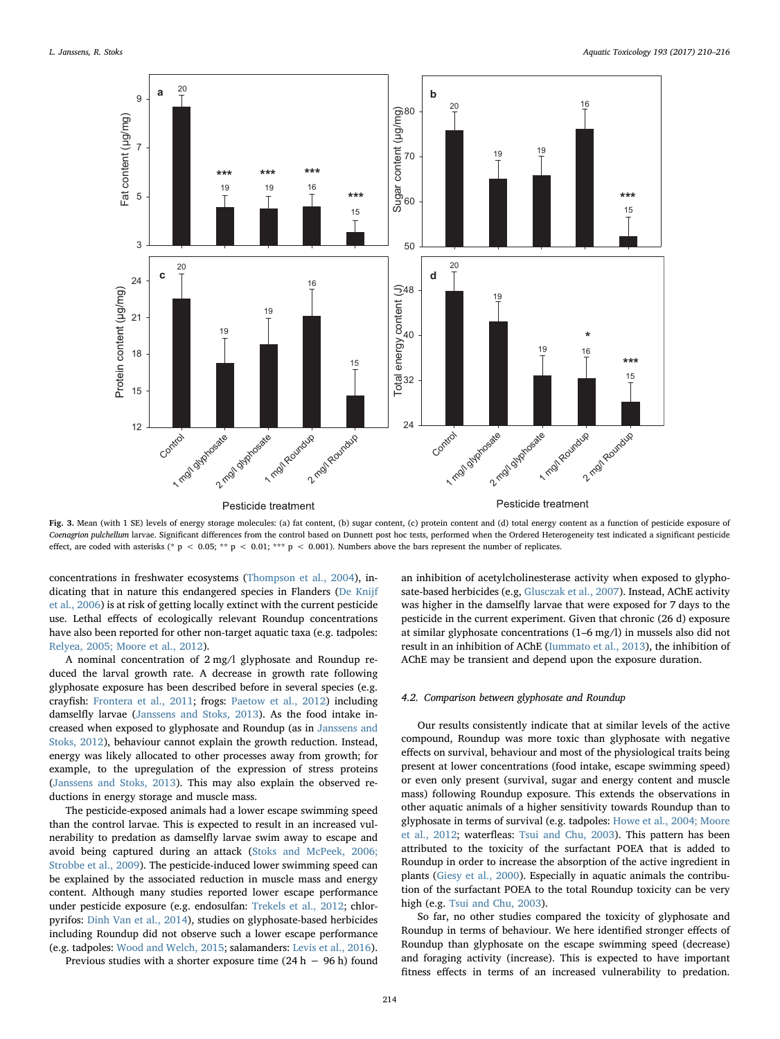<span id="page-4-0"></span>

Fig. 3. Mean (with 1 SE) levels of energy storage molecules: (a) fat content, (b) sugar content, (c) protein content and (d) total energy content as a function of pesticide exposure of Coenagrion pulchellum larvae. Significant differences from the control based on Dunnett post hoc tests, performed when the Ordered Heterogeneity test indicated a significant pesticide effect, are coded with asterisks (\* p < 0.05; \*\* p < 0.01; \*\*\* p < 0.001). Numbers above the bars represent the number of replicates.

concentrations in freshwater ecosystems ([Thompson et al., 2004\)](#page-6-36), indicating that in nature this endangered species in Flanders ([De Knijf](#page-6-22) [et al., 2006\)](#page-6-22) is at risk of getting locally extinct with the current pesticide use. Lethal effects of ecologically relevant Roundup concentrations have also been reported for other non-target aquatic taxa (e.g. tadpoles: [Relyea, 2005; Moore et al., 2012](#page-6-1)).

A nominal concentration of 2 mg/l glyphosate and Roundup reduced the larval growth rate. A decrease in growth rate following glyphosate exposure has been described before in several species (e.g. crayfish: [Frontera et al., 2011;](#page-6-37) frogs: [Paetow et al., 2012\)](#page-6-13) including damselfly larvae ([Janssens and Stoks, 2013\)](#page-6-25). As the food intake increased when exposed to glyphosate and Roundup (as in [Janssens and](#page-6-15) [Stoks, 2012](#page-6-15)), behaviour cannot explain the growth reduction. Instead, energy was likely allocated to other processes away from growth; for example, to the upregulation of the expression of stress proteins ([Janssens and Stoks, 2013](#page-6-25)). This may also explain the observed reductions in energy storage and muscle mass.

The pesticide-exposed animals had a lower escape swimming speed than the control larvae. This is expected to result in an increased vulnerability to predation as damselfly larvae swim away to escape and avoid being captured during an attack ([Stoks and McPeek, 2006;](#page-6-26) [Strobbe et al., 2009\)](#page-6-26). The pesticide-induced lower swimming speed can be explained by the associated reduction in muscle mass and energy content. Although many studies reported lower escape performance under pesticide exposure (e.g. endosulfan: [Trekels et al., 2012;](#page-6-33) chlorpyrifos: [Dinh Van et al., 2014](#page-6-38)), studies on glyphosate-based herbicides including Roundup did not observe such a lower escape performance (e.g. tadpoles: [Wood and Welch, 2015](#page-6-39); salamanders: [Levis et al., 2016](#page-6-40)).

Previous studies with a shorter exposure time (24 h − 96 h) found

an inhibition of acetylcholinesterase activity when exposed to glyphosate-based herbicides (e.g, [Glusczak et al., 2007\)](#page-6-12). Instead, AChE activity was higher in the damselfly larvae that were exposed for 7 days to the pesticide in the current experiment. Given that chronic (26 d) exposure at similar glyphosate concentrations (1–6 mg/l) in mussels also did not result in an inhibition of AChE [\(Iummato et al., 2013\)](#page-6-41), the inhibition of AChE may be transient and depend upon the exposure duration.

### 4.2. Comparison between glyphosate and Roundup

Our results consistently indicate that at similar levels of the active compound, Roundup was more toxic than glyphosate with negative effects on survival, behaviour and most of the physiological traits being present at lower concentrations (food intake, escape swimming speed) or even only present (survival, sugar and energy content and muscle mass) following Roundup exposure. This extends the observations in other aquatic animals of a higher sensitivity towards Roundup than to glyphosate in terms of survival (e.g. tadpoles: [Howe et al., 2004; Moore](#page-6-17) [et al., 2012](#page-6-17); waterfleas: [Tsui and Chu, 2003](#page-6-7)). This pattern has been attributed to the toxicity of the surfactant POEA that is added to Roundup in order to increase the absorption of the active ingredient in plants ([Giesy et al., 2000\)](#page-6-9). Especially in aquatic animals the contribution of the surfactant POEA to the total Roundup toxicity can be very high (e.g. [Tsui and Chu, 2003](#page-6-7)).

So far, no other studies compared the toxicity of glyphosate and Roundup in terms of behaviour. We here identified stronger effects of Roundup than glyphosate on the escape swimming speed (decrease) and foraging activity (increase). This is expected to have important fitness effects in terms of an increased vulnerability to predation.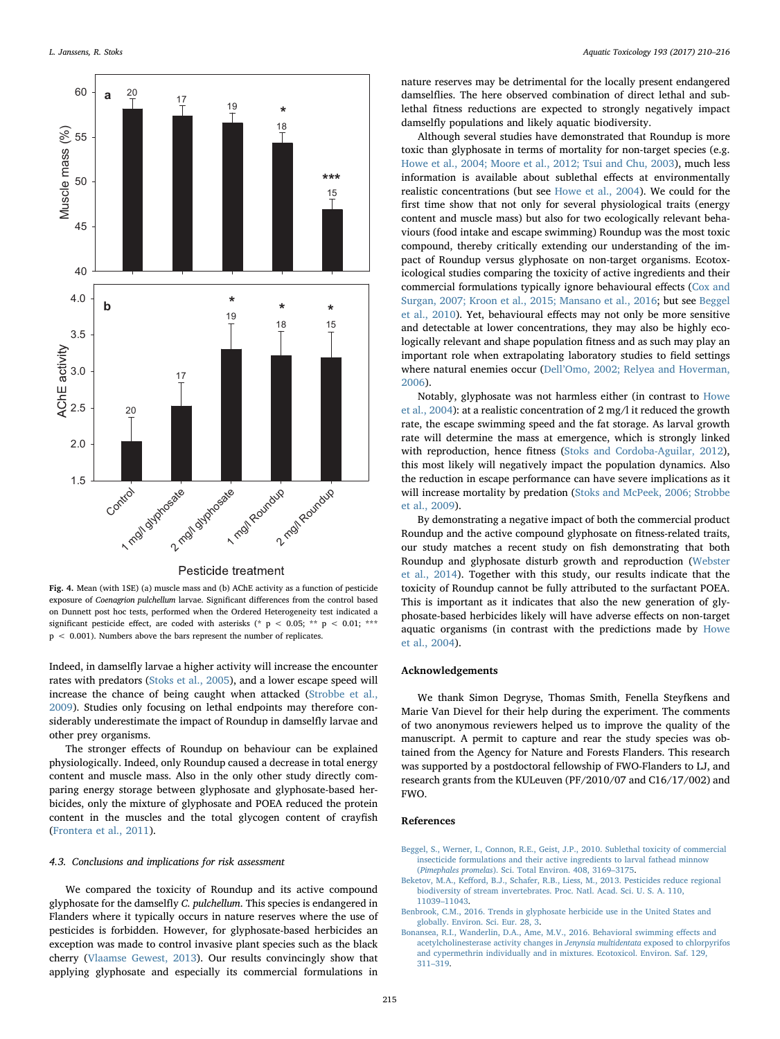<span id="page-5-3"></span>

Pesticide treatment

Fig. 4. Mean (with 1SE) (a) muscle mass and (b) AChE activity as a function of pesticide exposure of Coenagrion pulchellum larvae. Significant differences from the control based on Dunnett post hoc tests, performed when the Ordered Heterogeneity test indicated a significant pesticide effect, are coded with asterisks (\* p < 0.05; \*\* p < 0.01; \*\*\* p < 0.001). Numbers above the bars represent the number of replicates.

Indeed, in damselfly larvae a higher activity will increase the encounter rates with predators [\(Stoks et al., 2005](#page-6-42)), and a lower escape speed will increase the chance of being caught when attacked [\(Strobbe et al.,](#page-6-43) [2009\)](#page-6-43). Studies only focusing on lethal endpoints may therefore considerably underestimate the impact of Roundup in damselfly larvae and other prey organisms.

The stronger effects of Roundup on behaviour can be explained physiologically. Indeed, only Roundup caused a decrease in total energy content and muscle mass. Also in the only other study directly comparing energy storage between glyphosate and glyphosate-based herbicides, only the mixture of glyphosate and POEA reduced the protein content in the muscles and the total glycogen content of crayfish ([Frontera et al., 2011](#page-6-37)).

### 4.3. Conclusions and implications for risk assessment

We compared the toxicity of Roundup and its active compound glyphosate for the damselfly C. pulchellum. This species is endangered in Flanders where it typically occurs in nature reserves where the use of pesticides is forbidden. However, for glyphosate-based herbicides an exception was made to control invasive plant species such as the black cherry [\(Vlaamse Gewest, 2013](#page-6-23)). Our results convincingly show that applying glyphosate and especially its commercial formulations in

nature reserves may be detrimental for the locally present endangered damselflies. The here observed combination of direct lethal and sublethal fitness reductions are expected to strongly negatively impact damselfly populations and likely aquatic biodiversity.

Although several studies have demonstrated that Roundup is more toxic than glyphosate in terms of mortality for non-target species (e.g. [Howe et al., 2004; Moore et al., 2012; Tsui and Chu, 2003](#page-6-17)), much less information is available about sublethal effects at environmentally realistic concentrations (but see [Howe et al., 2004\)](#page-6-17). We could for the first time show that not only for several physiological traits (energy content and muscle mass) but also for two ecologically relevant behaviours (food intake and escape swimming) Roundup was the most toxic compound, thereby critically extending our understanding of the impact of Roundup versus glyphosate on non-target organisms. Ecotoxicological studies comparing the toxicity of active ingredients and their commercial formulations typically ignore behavioural effects ([Cox and](#page-6-2) [Surgan, 2007; Kroon et al., 2015; Mansano et al., 2016;](#page-6-2) but see [Beggel](#page-5-1) [et al., 2010](#page-5-1)). Yet, behavioural effects may not only be more sensitive and detectable at lower concentrations, they may also be highly ecologically relevant and shape population fitness and as such may play an important role when extrapolating laboratory studies to field settings where natural enemies occur (Dell'[Omo, 2002; Relyea and Hoverman,](#page-6-44) [2006\)](#page-6-44).

Notably, glyphosate was not harmless either (in contrast to [Howe](#page-6-17) [et al., 2004\)](#page-6-17): at a realistic concentration of 2 mg/l it reduced the growth rate, the escape swimming speed and the fat storage. As larval growth rate will determine the mass at emergence, which is strongly linked with reproduction, hence fitness [\(Stoks and Cordoba-Aguilar, 2012](#page-6-45)), this most likely will negatively impact the population dynamics. Also the reduction in escape performance can have severe implications as it will increase mortality by predation [\(Stoks and McPeek, 2006; Strobbe](#page-6-26) [et al., 2009](#page-6-26)).

By demonstrating a negative impact of both the commercial product Roundup and the active compound glyphosate on fitness-related traits, our study matches a recent study on fish demonstrating that both Roundup and glyphosate disturb growth and reproduction ([Webster](#page-6-19) [et al., 2014](#page-6-19)). Together with this study, our results indicate that the toxicity of Roundup cannot be fully attributed to the surfactant POEA. This is important as it indicates that also the new generation of glyphosate-based herbicides likely will have adverse effects on non-target aquatic organisms (in contrast with the predictions made by [Howe](#page-6-17) [et al., 2004](#page-6-17)).

### Acknowledgements

We thank Simon Degryse, Thomas Smith, Fenella Steyfkens and Marie Van Dievel for their help during the experiment. The comments of two anonymous reviewers helped us to improve the quality of the manuscript. A permit to capture and rear the study species was obtained from the Agency for Nature and Forests Flanders. This research was supported by a postdoctoral fellowship of FWO-Flanders to LJ, and research grants from the KULeuven (PF/2010/07 and C16/17/002) and FWO.

# References

- <span id="page-5-1"></span>[Beggel, S., Werner, I., Connon, R.E., Geist, J.P., 2010. Sublethal toxicity of commercial](http://refhub.elsevier.com/S0166-445X(17)30315-6/sbref0005) [insecticide formulations and their active ingredients to larval fathead minnow](http://refhub.elsevier.com/S0166-445X(17)30315-6/sbref0005) (Pimephales promelas[\). Sci. Total Environ. 408, 3169](http://refhub.elsevier.com/S0166-445X(17)30315-6/sbref0005)–3175.
- <span id="page-5-0"></span>Beketov, M.A., Keff[ord, B.J., Schafer, R.B., Liess, M., 2013. Pesticides reduce regional](http://refhub.elsevier.com/S0166-445X(17)30315-6/sbref0010) [biodiversity of stream invertebrates. Proc. Natl. Acad. Sci. U. S. A. 110,](http://refhub.elsevier.com/S0166-445X(17)30315-6/sbref0010) 11039–[11043.](http://refhub.elsevier.com/S0166-445X(17)30315-6/sbref0010)
- <span id="page-5-2"></span>[Benbrook, C.M., 2016. Trends in glyphosate herbicide use in the United States and](http://refhub.elsevier.com/S0166-445X(17)30315-6/sbref0015) [globally. Environ. Sci. Eur. 28, 3.](http://refhub.elsevier.com/S0166-445X(17)30315-6/sbref0015)
- [Bonansea, R.I., Wanderlin, D.A., Ame, M.V., 2016. Behavioral swimming e](http://refhub.elsevier.com/S0166-445X(17)30315-6/sbref0020)ffects and [acetylcholinesterase activity changes in](http://refhub.elsevier.com/S0166-445X(17)30315-6/sbref0020) Jenynsia multidentata exposed to chlorpyrifos [and cypermethrin individually and in mixtures. Ecotoxicol. Environ. Saf. 129,](http://refhub.elsevier.com/S0166-445X(17)30315-6/sbref0020) 311–[319](http://refhub.elsevier.com/S0166-445X(17)30315-6/sbref0020).